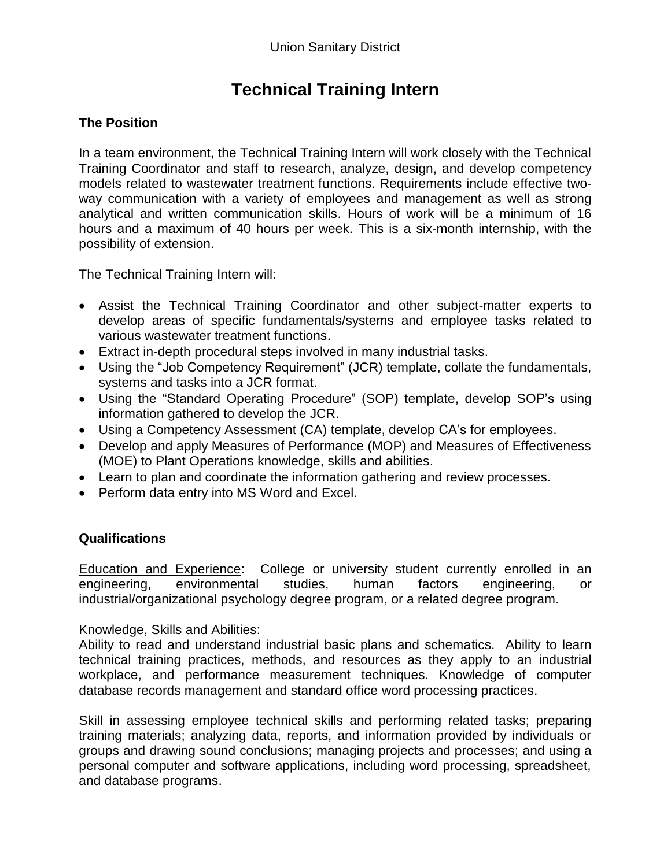# **Technical Training Intern**

# **The Position**

In a team environment, the Technical Training Intern will work closely with the Technical Training Coordinator and staff to research, analyze, design, and develop competency models related to wastewater treatment functions. Requirements include effective twoway communication with a variety of employees and management as well as strong analytical and written communication skills. Hours of work will be a minimum of 16 hours and a maximum of 40 hours per week. This is a six-month internship, with the possibility of extension.

The Technical Training Intern will:

- Assist the Technical Training Coordinator and other subject-matter experts to develop areas of specific fundamentals/systems and employee tasks related to various wastewater treatment functions.
- Extract in-depth procedural steps involved in many industrial tasks.
- Using the "Job Competency Requirement" (JCR) template, collate the fundamentals, systems and tasks into a JCR format.
- Using the "Standard Operating Procedure" (SOP) template, develop SOP's using information gathered to develop the JCR.
- Using a Competency Assessment (CA) template, develop CA's for employees.
- Develop and apply Measures of Performance (MOP) and Measures of Effectiveness (MOE) to Plant Operations knowledge, skills and abilities.
- Learn to plan and coordinate the information gathering and review processes.
- Perform data entry into MS Word and Excel.

## **Qualifications**

Education and Experience: College or university student currently enrolled in an engineering, environmental studies, human factors engineering, or industrial/organizational psychology degree program, or a related degree program.

#### Knowledge, Skills and Abilities:

Ability to read and understand industrial basic plans and schematics. Ability to learn technical training practices, methods, and resources as they apply to an industrial workplace, and performance measurement techniques. Knowledge of computer database records management and standard office word processing practices.

Skill in assessing employee technical skills and performing related tasks; preparing training materials; analyzing data, reports, and information provided by individuals or groups and drawing sound conclusions; managing projects and processes; and using a personal computer and software applications, including word processing, spreadsheet, and database programs.